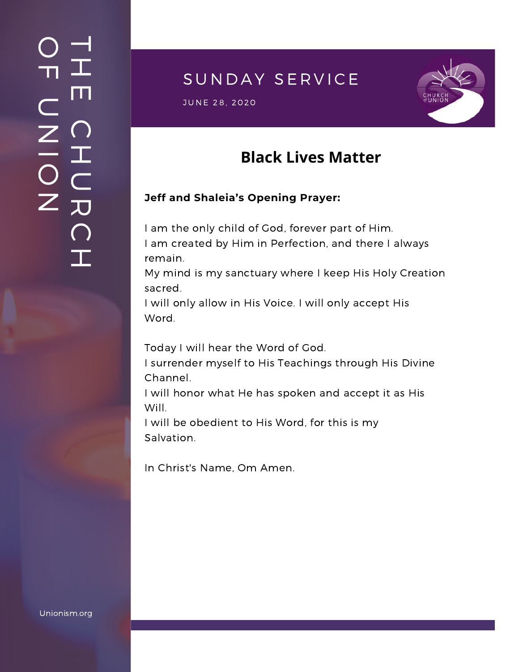### $\overline{\phantom{a}}$ H m.  $\bigcap$ H  $\subset$ 刀  $\bigcap$  $\mathbf{I}$  .  $\bigcirc$  $\blacksquare$  $\subset$  $\mathsf{Z}^+$ <u>In the Second Contract of the Second Contract of the International Second Contract of the International Second Contract of the International Second Contract of the International Second Contract of the International Second</u>  $\bigcirc$  $\mathsf{Z}^+$

# SUNDAY SERVICE

JUNE 28, 2020<br>JUNE 28, 2020



## **Black Lives Matter**

#### **Jeff and Shaleia's Opening Prayer:**

I am the only child of God, forever part of Him. I am created by Him in Perfection, and there I always remain.

My mind is my sanctuary where I keep His Holy Creation sacred.

I will only allow in His Voice. I will only accept His Word.

Today I will hear the Word of God.

I surrender myself to His Teachings through His Divine Channel.

I will honor what He has spoken and accept it as His Will.

I will be obedient to His Word, for this is my Salvation.

In Christ's Name, Om Amen.